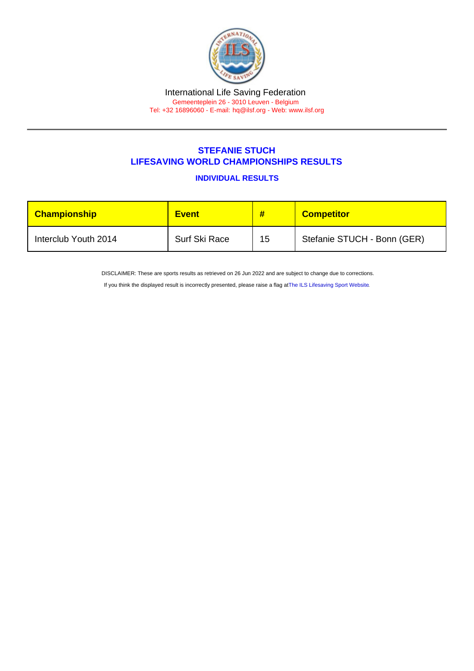## STEFANIE STUCH LIFESAVING WORLD CHAMPIONSHIPS RESULTS

INDIVIDUAL RESULTS

| Championship         | <b>Event</b>  | #  | <b>Competitor</b>           |
|----------------------|---------------|----|-----------------------------|
| Interclub Youth 2014 | Surf Ski Race | 15 | Stefanie STUCH - Bonn (GER) |

DISCLAIMER: These are sports results as retrieved on 26 Jun 2022 and are subject to change due to corrections.

If you think the displayed result is incorrectly presented, please raise a flag at [The ILS Lifesaving Sport Website.](https://sport.ilsf.org)